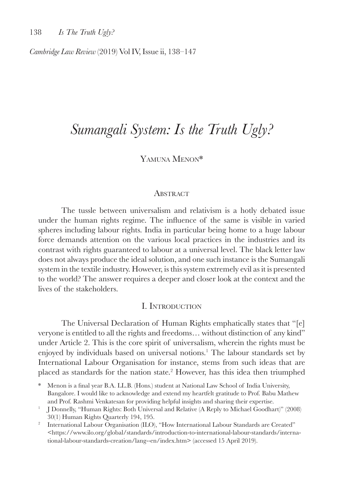*Cambridge Law Review* (2019) Vol IV, Issue ii, 138–147

# *Sumangali System: Is the Truth Ugly?*

# Yamuna Menon\*

#### **ABSTRACT**

The tussle between universalism and relativism is a hotly debated issue under the human rights regime. The influence of the same is visible in varied spheres including labour rights. India in particular being home to a huge labour force demands attention on the various local practices in the industries and its contrast with rights guaranteed to labour at a universal level. The black letter law does not always produce the ideal solution, and one such instance is the Sumangali system in the textile industry. However, is this system extremely evil as it is presented to the world? The answer requires a deeper and closer look at the context and the lives of the stakeholders.

#### I. Introduction

The Universal Declaration of Human Rights emphatically states that "[e] veryone is entitled to all the rights and freedoms… without distinction of any kind" under Article 2. This is the core spirit of universalism, wherein the rights must be enjoyed by individuals based on universal notions.<sup>1</sup> The labour standards set by International Labour Organisation for instance, stems from such ideas that are placed as standards for the nation state.2 However, has this idea then triumphed

<sup>\*</sup> Menon is a final year B.A. LL.B. (Hons.) student at National Law School of India University, Bangalore. I would like to acknowledge and extend my heartfelt gratitude to Prof. Babu Mathew and Prof. Rashmi Venkatesan for providing helpful insights and sharing their expertise.

<sup>1</sup> J Donnelly, "Human Rights: Both Universal and Relative (A Reply to Michael Goodhart)" (2008) 30(1) Human Rights Quarterly 194, 195.

<sup>&</sup>lt;sup>2</sup> International Labour Organisation (ILO), "How International Labour Standards are Created" <https://www.ilo.org/global/standards/introduction-to-international-labour-standards/international-labour-standards-creation/lang--en/index.htm> (accessed 15 April 2019).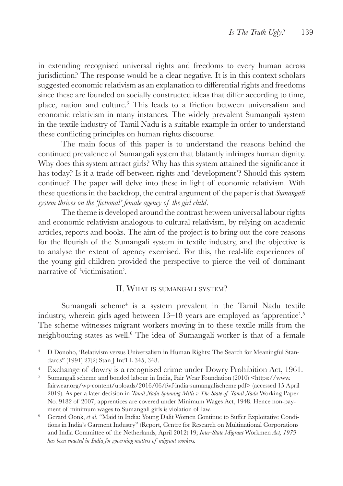in extending recognised universal rights and freedoms to every human across jurisdiction? The response would be a clear negative. It is in this context scholars suggested economic relativism as an explanation to differential rights and freedoms since these are founded on socially constructed ideas that differ according to time, place, nation and culture.<sup>3</sup> This leads to a friction between universalism and economic relativism in many instances. The widely prevalent Sumangali system in the textile industry of Tamil Nadu is a suitable example in order to understand these conflicting principles on human rights discourse.

The main focus of this paper is to understand the reasons behind the continued prevalence of Sumangali system that blatantly infringes human dignity. Why does this system attract girls? Why has this system attained the significance it has today? Is it a trade-off between rights and 'development'? Should this system continue? The paper will delve into these in light of economic relativism. With these questions in the backdrop, the central argument of the paper is that *Sumangali system thrives on the 'fictional' female agency of the girl child*.

The theme is developed around the contrast between universal labour rights and economic relativism analogous to cultural relativism, by relying on academic articles, reports and books. The aim of the project is to bring out the core reasons for the flourish of the Sumangali system in textile industry, and the objective is to analyse the extent of agency exercised. For this, the real-life experiences of the young girl children provided the perspective to pierce the veil of dominant narrative of 'victimisation'.

### II. What is sumangali system?

Sumangali scheme<sup>4</sup> is a system prevalent in the Tamil Nadu textile industry, wherein girls aged between 13–18 years are employed as 'apprentice'.<sup>5</sup> The scheme witnesses migrant workers moving in to these textile mills from the neighbouring states as well.<sup>6</sup> The idea of Sumangali worker is that of a female

- <sup>4</sup> Exchange of dowry is a recognised crime under Dowry Prohibition Act, 1961.<br><sup>5</sup> Sumangali scheme and bonded labour in India Fair Wear Foundation (2010) shttps://www.
- <sup>5</sup> Sumangali scheme and bonded labour in India, Fair Wear Foundation (2010) <https://www. fairwear.org/wp-content/uploads/2016/06/fwf-india-sumangalischeme.pdf> (accessed 15 April 2019). As per a later decision in *Tamil Nadu Spinning Mills v The State of Tamil Nadu* Working Paper No. 9182 of 2007, apprentices are covered under Minimum Wages Act, 1948. Hence non-payment of minimum wages to Sumangali girls is violation of law.
- <sup>6</sup> Gerard Oonk, *et al*, "Maid in India: Young Dalit Women Continue to Suffer Exploitative Conditions in India's Garment Industry" (Report, Centre for Research on Multinational Corporations and India Committee of the Netherlands, April 2012) 19; *Inter-State Migrant* Workmen *Act, 1979 has been enacted in India for governing matters of migrant workers.*

<sup>&</sup>lt;sup>3</sup> D Donoho, 'Relativism versus Universalism in Human Rights: The Search for Meaningful Standards" (1991) 27(2) Stan J Int'l L 345, 348.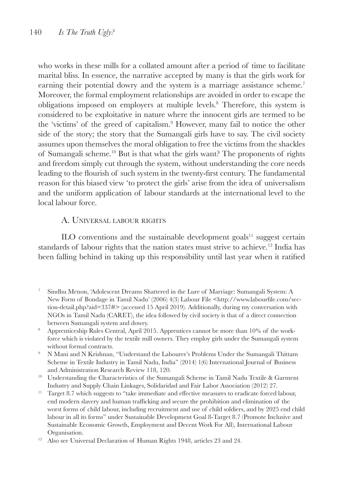who works in these mills for a collated amount after a period of time to facilitate marital bliss. In essence, the narrative accepted by many is that the girls work for earning their potential dowry and the system is a marriage assistance scheme.<sup>7</sup> Moreover, the formal employment relationships are avoided in order to escape the obligations imposed on employers at multiple levels.<sup>8</sup> Therefore, this system is considered to be exploitative in nature where the innocent girls are termed to be the 'victims' of the greed of capitalism.<sup>9</sup> However, many fail to notice the other side of the story; the story that the Sumangali girls have to say. The civil society assumes upon themselves the moral obligation to free the victims from the shackles of Sumangali scheme.10 But is that what the girls want? The proponents of rights and freedom simply cut through the system, without understanding the core needs leading to the flourish of such system in the twenty-first century. The fundamental reason for this biased view 'to protect the girls' arise from the idea of universalism and the uniform application of labour standards at the international level to the local labour force.

### A. Universal labour rights

 $II$ O conventions and the sustainable development goals $11$  suggest certain standards of labour rights that the nation states must strive to achieve.<sup>12</sup> India has been falling behind in taking up this responsibility until last year when it ratified

- <sup>7</sup> Sindhu Menon, 'Adolescent Dreams Shattered in the Lure of Marriage: Sumangali System: A New Form of Bondage in Tamil Nadu' (2006) 4(3) Labour File <http://www.labourfile.com/section-detail.php?aid=337#> (accessed 15 April 2019). Additionally, during my conversation with NGOs in Tamil Nadu (CARET), the idea followed by civil society is that of a direct connection between Sumangali system and dowry.
- <sup>8</sup> Apprenticeship Rules Central, April 2015. Apprentices cannot be more than 10% of the workforce which is violated by the textile mill owners. They employ girls under the Sumangali system without formal contracts.
- <sup>9</sup> N Mani and N Krishnan, "Understand the Labourer's Problems Under the Sumangali Thittam Scheme in Textile Industry in Tamil Nadu, India" (2014) 1(6) International Journal of Business and Administration Research Review 118, 120.

<sup>10</sup> Understanding the Characteristics of the Sumangali Scheme in Tamil Nadu Textile & Garment Industry and Supply Chain Linkages, Solidaridad and Fair Labor Association (2012) 27.

 $11$  Target 8.7 which suggests to "take immediate and effective measures to eradicate forced labour. end modern slavery and human trafficking and secure the prohibition and elimination of the worst forms of child labour, including recruitment and use of child soldiers, and by 2025 end child labour in all its forms" under Sustainable Development Goal 8-Target 8.7 (Promote Inclusive and Sustainable Economic Growth, Employment and Decent Work For All), International Labour Organisation.

<sup>&</sup>lt;sup>12</sup> Also see Universal Declaration of Human Rights 1948, articles 23 and 24.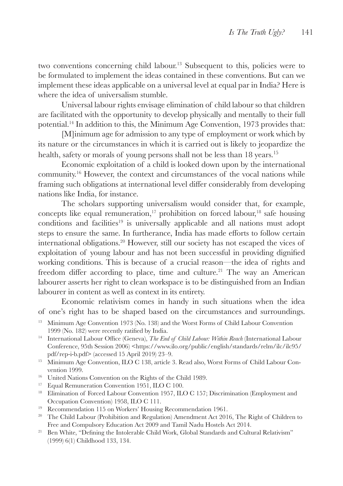two conventions concerning child labour.13 Subsequent to this, policies were to be formulated to implement the ideas contained in these conventions. But can we implement these ideas applicable on a universal level at equal par in India? Here is where the idea of universalism stumble.

Universal labour rights envisage elimination of child labour so that children are facilitated with the opportunity to develop physically and mentally to their full potential.14 In addition to this, the Minimum Age Convention, 1973 provides that:

[M]inimum age for admission to any type of employment or work which by its nature or the circumstances in which it is carried out is likely to jeopardize the health, safety or morals of young persons shall not be less than 18 years.<sup>15</sup>

Economic exploitation of a child is looked down upon by the international community.16 However, the context and circumstances of the vocal nations while framing such obligations at international level differ considerably from developing nations like India, for instance.

The scholars supporting universalism would consider that, for example, concepts like equal remuneration,<sup>17</sup> prohibition on forced labour,<sup>18</sup> safe housing conditions and facilities<sup>19</sup> is universally applicable and all nations must adopt steps to ensure the same. In furtherance, India has made efforts to follow certain international obligations.20 However, still our society has not escaped the vices of exploitation of young labour and has not been successful in providing dignified working conditions. This is because of a crucial reason—the idea of rights and freedom differ according to place, time and culture.<sup>21</sup> The way an American labourer asserts her right to clean workspace is to be distinguished from an Indian labourer in content as well as context in its entirety.

Economic relativism comes in handy in such situations when the idea of one's right has to be shaped based on the circumstances and surroundings.

- <sup>13</sup> Minimum Age Convention 1973 (No. 138) and the Worst Forms of Child Labour Convention 1999 (No. 182) were recently ratified by India.
- <sup>14</sup> International Labour Office (Geneva), *The End of Child Labour: Within Reach* (International Labour Conference, 95th Session 2006) <https://www.ilo.org/public/english/standards/relm/ilc/ilc95/ pdf/rep-i-b.pdf> (accessed 15 April 2019) 23–9.
- <sup>15</sup> Minimum Age Convention, ILO C 138, article 3. Read also, Worst Forms of Child Labour Convention 1999.
- <sup>16</sup> United Nations Convention on the Rights of the Child 1989.
- <sup>17</sup> Equal Remuneration Convention 1951, ILO C 100.
- <sup>18</sup> Elimination of Forced Labour Convention 1957, ILO C 157; Discrimination (Employment and Occupation Convention) 1958, ILO C 111.
- <sup>19</sup> Recommendation 115 on Workers' Housing Recommendation 1961.
- <sup>20</sup> The Child Labour (Prohibition and Regulation) Amendment Act 2016, The Right of Children to Free and Compulsory Education Act 2009 and Tamil Nadu Hostels Act 2014.
- <sup>21</sup> Ben White, "Defining the Intolerable Child Work, Global Standards and Cultural Relativism" (1999) 6(1) Childhood 133, 134.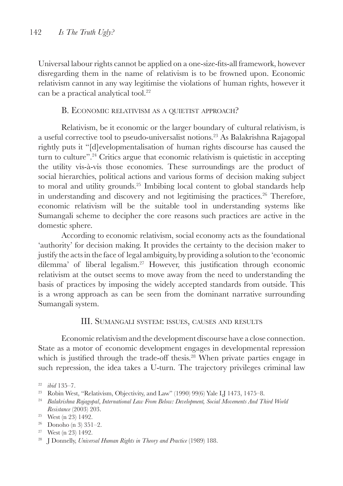Universal labour rights cannot be applied on a one-size-fits-all framework, however disregarding them in the name of relativism is to be frowned upon. Economic relativism cannot in any way legitimise the violations of human rights, however it can be a practical analytical tool.<sup>22</sup>

## B. ECONOMIC RELATIVISM AS A QUIETIST APPROACH?

Relativism, be it economic or the larger boundary of cultural relativism, is a useful corrective tool to pseudo-universalist notions.23 As Balakrishna Rajagopal rightly puts it "[d]evelopmentalisation of human rights discourse has caused the turn to culture".24 Critics argue that economic relativism is quietistic in accepting the utility vis-à-vis those economies. These surroundings are the product of social hierarchies, political actions and various forms of decision making subject to moral and utility grounds.<sup>25</sup> Imbibing local content to global standards help in understanding and discovery and not legitimising the practices.<sup>26</sup> Therefore, economic relativism will be the suitable tool in understanding systems like Sumangali scheme to decipher the core reasons such practices are active in the domestic sphere.

According to economic relativism, social economy acts as the foundational 'authority' for decision making. It provides the certainty to the decision maker to justify the acts in the face of legal ambiguity, by providing a solution to the 'economic dilemma' of liberal legalism.<sup>27</sup> However, this justification through economic relativism at the outset seems to move away from the need to understanding the basis of practices by imposing the widely accepted standards from outside. This is a wrong approach as can be seen from the dominant narrative surrounding Sumangali system.

### III. Sumangali system: issues, causes and results

Economic relativism and the development discourse have a close connection. State as a motor of economic development engages in developmental repression which is justified through the trade-off thesis.<sup>28</sup> When private parties engage in such repression, the idea takes a U-turn. The trajectory privileges criminal law

<sup>22</sup> *ibid* 135–7.

<sup>&</sup>lt;sup>23</sup> Robin West, "Relativism, Objectivity, and Law" (1990) 99(6) Yale LI 1473, 1475–8.

<sup>24</sup> *Balakrishna Rajagopal*, *International Law From Below: Development, Social Movements And Third World Resistance* (2003) 203.

<sup>25</sup> West (n 23) 1492.

<sup>26</sup> Donoho (n 3) 351–2.

<sup>27</sup> West (n 23) 1492.

<sup>28</sup> J Donnelly, *Universal Human Rights in Theory and Practice* (1989) 188.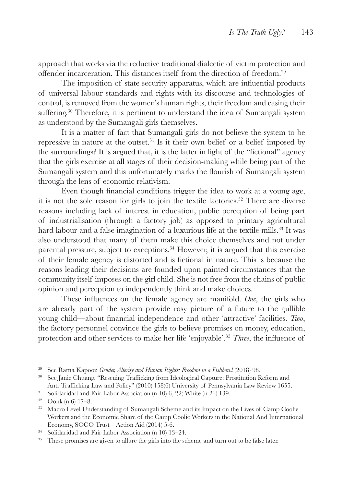approach that works via the reductive traditional dialectic of victim protection and offender incarceration. This distances itself from the direction of freedom.<sup>29</sup>

The imposition of state security apparatus, which are influential products of universal labour standards and rights with its discourse and technologies of control, is removed from the women's human rights, their freedom and easing their suffering.30 Therefore, it is pertinent to understand the idea of Sumangali system as understood by the Sumangali girls themselves.

It is a matter of fact that Sumangali girls do not believe the system to be repressive in nature at the outset.31 Is it their own belief or a belief imposed by the surroundings? It is argued that, it is the latter in light of the "fictional" agency that the girls exercise at all stages of their decision-making while being part of the Sumangali system and this unfortunately marks the flourish of Sumangali system through the lens of economic relativism.

Even though financial conditions trigger the idea to work at a young age, it is not the sole reason for girls to join the textile factories.32 There are diverse reasons including lack of interest in education, public perception of being part of industrialisation (through a factory job) as opposed to primary agricultural hard labour and a false imagination of a luxurious life at the textile mills.<sup>33</sup> It was also understood that many of them make this choice themselves and not under parental pressure, subject to exceptions.34 However, it is argued that this exercise of their female agency is distorted and is fictional in nature. This is because the reasons leading their decisions are founded upon painted circumstances that the community itself imposes on the girl child. She is not free from the chains of public opinion and perception to independently think and make choices.

These influences on the female agency are manifold. *One*, the girls who are already part of the system provide rosy picture of a future to the gullible young child—about financial independence and other 'attractive' facilities. *Two*, the factory personnel convince the girls to believe promises on money, education, protection and other services to make her life 'enjoyable'.<sup>35</sup> *Three*, the influence of

<sup>29</sup> See Ratna Kapoor, *Gender, Alterity and Human Rights: Freedom in a Fishbowl* (2018) 98.

<sup>30</sup> See Janie Chuang, "Rescuing Trafficking from Ideological Capture: Prostitution Reform and Anti-Trafficking Law and Policy" (2010) 158(6) University of Pennsylvania Law Review 1655.

<sup>&</sup>lt;sup>31</sup> Solidaridad and Fair Labor Association (n 10) 6, 22; White (n 21) 139.

<sup>32</sup> Oonk (n 6) 17–8.

<sup>33</sup> Macro Level Understanding of Sumangali Scheme and its Impact on the Lives of Camp Coolie Workers and the Economic Share of the Camp Coolie Workers in the National And International Economy, SOCO Trust – Action Aid (2014) 5-6.

<sup>34</sup> Solidaridad and Fair Labor Association (n 10) 13–24.

<sup>&</sup>lt;sup>35</sup> These promises are given to allure the girls into the scheme and turn out to be false later.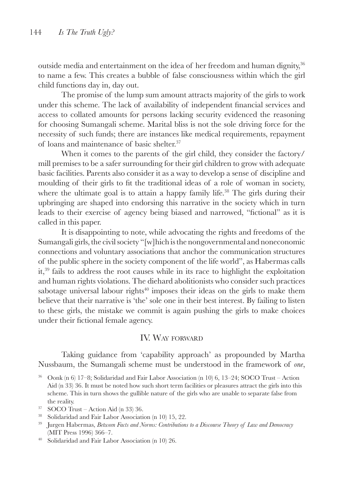outside media and entertainment on the idea of her freedom and human dignity,<sup>36</sup> to name a few. This creates a bubble of false consciousness within which the girl child functions day in, day out.

The promise of the lump sum amount attracts majority of the girls to work under this scheme. The lack of availability of independent financial services and access to collated amounts for persons lacking security evidenced the reasoning for choosing Sumangali scheme. Marital bliss is not the sole driving force for the necessity of such funds; there are instances like medical requirements, repayment of loans and maintenance of basic shelter.37

When it comes to the parents of the girl child, they consider the factory/ mill premises to be a safer surrounding for their girl children to grow with adequate basic facilities. Parents also consider it as a way to develop a sense of discipline and moulding of their girls to fit the traditional ideas of a role of woman in society, where the ultimate goal is to attain a happy family life.<sup>38</sup> The girls during their upbringing are shaped into endorsing this narrative in the society which in turn leads to their exercise of agency being biased and narrowed, "fictional" as it is called in this paper.

It is disappointing to note, while advocating the rights and freedoms of the Sumangali girls, the civil society "[w]hich is the nongovernmental and noneconomic connections and voluntary associations that anchor the communication structures of the public sphere in the society component of the life world", as Habermas calls it,39 fails to address the root causes while in its race to highlight the exploitation and human rights violations. The diehard abolitionists who consider such practices sabotage universal labour rights<sup>40</sup> imposes their ideas on the girls to make them believe that their narrative is 'the' sole one in their best interest. By failing to listen to these girls, the mistake we commit is again pushing the girls to make choices under their fictional female agency.

#### IV. Way forward

Taking guidance from 'capability approach' as propounded by Martha Nussbaum, the Sumangali scheme must be understood in the framework of *one*,

- <sup>38</sup> Solidaridad and Fair Labor Association (n 10) 15, 22.
- <sup>39</sup> Jurgen Habermas, *Between Facts and Norms: Contributions to a Discourse Theory of Law and Democracy* (MIT Press 1996) 366–7.
- <sup>40</sup> Solidaridad and Fair Labor Association (n 10) 26.

<sup>36</sup> Oonk (n 6) 17–8; Solidaridad and Fair Labor Association (n 10) 6, 13–24; SOCO Trust – Action Aid (n 33) 36. It must be noted how such short term facilities or pleasures attract the girls into this scheme. This in turn shows the gullible nature of the girls who are unable to separate false from the reality.

<sup>37</sup> SOCO Trust – Action Aid (n 33) 36.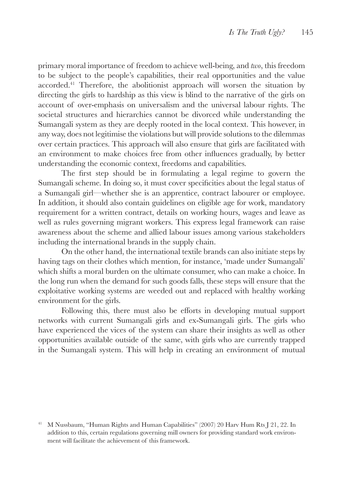primary moral importance of freedom to achieve well-being, and *two*, this freedom to be subject to the people's capabilities, their real opportunities and the value accorded.41 Therefore, the abolitionist approach will worsen the situation by directing the girls to hardship as this view is blind to the narrative of the girls on account of over-emphasis on universalism and the universal labour rights. The societal structures and hierarchies cannot be divorced while understanding the Sumangali system as they are deeply rooted in the local context. This however, in any way, does not legitimise the violations but will provide solutions to the dilemmas over certain practices. This approach will also ensure that girls are facilitated with an environment to make choices free from other influences gradually, by better understanding the economic context, freedoms and capabilities.

The first step should be in formulating a legal regime to govern the Sumangali scheme. In doing so, it must cover specificities about the legal status of a Sumangali girl—whether she is an apprentice, contract labourer or employee. In addition, it should also contain guidelines on eligible age for work, mandatory requirement for a written contract, details on working hours, wages and leave as well as rules governing migrant workers. This express legal framework can raise awareness about the scheme and allied labour issues among various stakeholders including the international brands in the supply chain.

On the other hand, the international textile brands can also initiate steps by having tags on their clothes which mention, for instance, 'made under Sumangali' which shifts a moral burden on the ultimate consumer, who can make a choice. In the long run when the demand for such goods falls, these steps will ensure that the exploitative working systems are weeded out and replaced with healthy working environment for the girls.

Following this, there must also be efforts in developing mutual support networks with current Sumangali girls and ex-Sumangali girls. The girls who have experienced the vices of the system can share their insights as well as other opportunities available outside of the same, with girls who are currently trapped in the Sumangali system. This will help in creating an environment of mutual

<sup>41</sup> M Nussbaum, "Human Rights and Human Capabilities" (2007) 20 Harv Hum Rts J 21, 22. In addition to this, certain regulations governing mill owners for providing standard work environment will facilitate the achievement of this framework.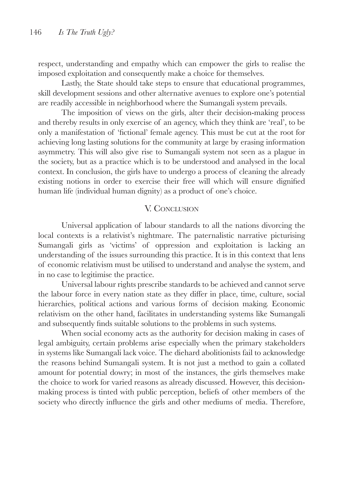respect, understanding and empathy which can empower the girls to realise the imposed exploitation and consequently make a choice for themselves.

Lastly, the State should take steps to ensure that educational programmes, skill development sessions and other alternative avenues to explore one's potential are readily accessible in neighborhood where the Sumangali system prevails.

The imposition of views on the girls, alter their decision-making process and thereby results in only exercise of an agency, which they think are 'real', to be only a manifestation of 'fictional' female agency. This must be cut at the root for achieving long lasting solutions for the community at large by erasing information asymmetry. This will also give rise to Sumangali system not seen as a plague in the society, but as a practice which is to be understood and analysed in the local context. In conclusion, the girls have to undergo a process of cleaning the already existing notions in order to exercise their free will which will ensure dignified human life (individual human dignity) as a product of one's choice.

### V. CONCLUSION

Universal application of labour standards to all the nations divorcing the local contexts is a relativist's nightmare. The paternalistic narrative picturising Sumangali girls as 'victims' of oppression and exploitation is lacking an understanding of the issues surrounding this practice. It is in this context that lens of economic relativism must be utilised to understand and analyse the system, and in no case to legitimise the practice.

Universal labour rights prescribe standards to be achieved and cannot serve the labour force in every nation state as they differ in place, time, culture, social hierarchies, political actions and various forms of decision making. Economic relativism on the other hand, facilitates in understanding systems like Sumangali and subsequently finds suitable solutions to the problems in such systems.

When social economy acts as the authority for decision making in cases of legal ambiguity, certain problems arise especially when the primary stakeholders in systems like Sumangali lack voice. The diehard abolitionists fail to acknowledge the reasons behind Sumangali system. It is not just a method to gain a collated amount for potential dowry; in most of the instances, the girls themselves make the choice to work for varied reasons as already discussed. However, this decisionmaking process is tinted with public perception, beliefs of other members of the society who directly influence the girls and other mediums of media. Therefore,